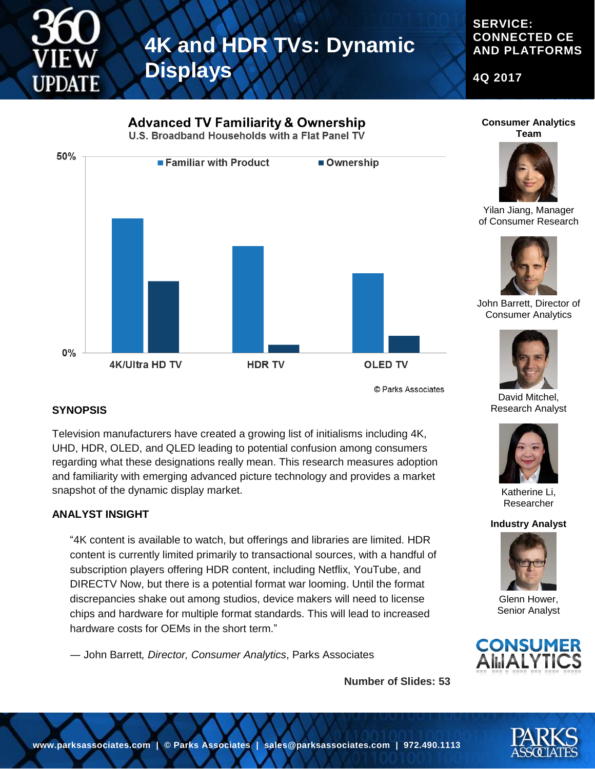

#### **SERVICE: CONNECTED CE AND PLATFORMS**

**4Q 2017**

# **Advanced TV Familiarity & Ownership** U.S. Broadband Households with a Flat Panel TV 50% ■ Familiar with Product Ownership  $0\%$ 4K/Ultra HD TV **HDR TV OLED TV**

© Parks Associates

### **Consumer Analytics Team**



Yilan Jiang, Manager of Consumer Research



John Barrett, Director of Consumer Analytics



David Mitchel, Research Analyst



Researcher

#### **Industry Analyst**



Glenn Hower, Senior Analyst









**SYNOPSIS**

Television manufacturers have created a growing list of initialisms including 4K, UHD, HDR, OLED, and QLED leading to potential confusion among consumers regarding what these designations really mean. This research measures adoption and familiarity with emerging advanced picture technology and provides a market snapshot of the dynamic display market.

### **ANALYST INSIGHT**

"4K content is available to watch, but offerings and libraries are limited. HDR content is currently limited primarily to transactional sources, with a handful of subscription players offering HDR content, including Netflix, YouTube, and DIRECTV Now, but there is a potential format war looming. Until the format discrepancies shake out among studios, device makers will need to license chips and hardware for multiple format standards. This will lead to increased hardware costs for OEMs in the short term."

― John Barrett*, Director, Consumer Analytics*, Parks Associates

**Number of Slides: 53**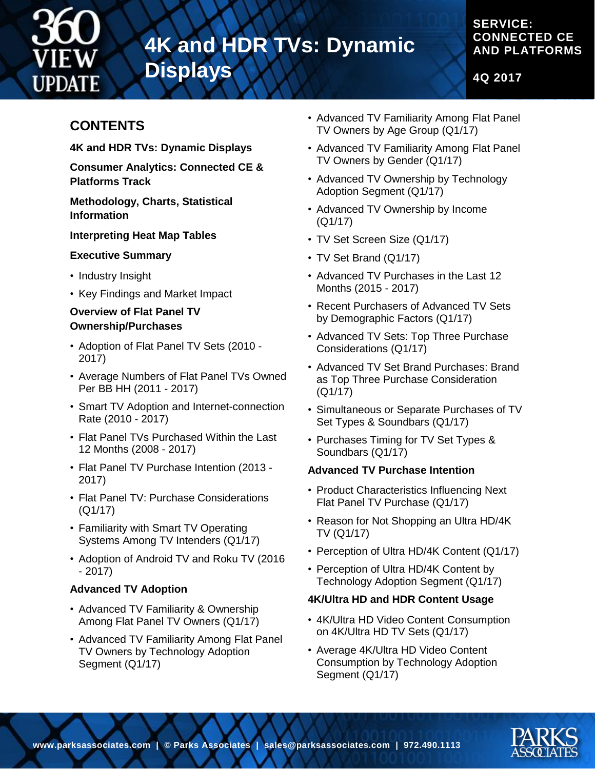

# **4K and HDR TVs: Dynamic**

**Displays**

### **SERVICE: CONNECTED CE AND PLATFORMS**

**4Q 2017**

## **CONTENTS**

**4K and HDR TVs: Dynamic Displays**

**Consumer Analytics: Connected CE & Platforms Track**

**Methodology, Charts, Statistical Information**

#### **Interpreting Heat Map Tables**

#### **Executive Summary**

- Industry Insight
- Key Findings and Market Impact

#### **Overview of Flat Panel TV Ownership/Purchases**

- Adoption of Flat Panel TV Sets (2010 2017)
- Average Numbers of Flat Panel TVs Owned Per BB HH (2011 - 2017)
- Smart TV Adoption and Internet-connection Rate (2010 - 2017)
- Flat Panel TVs Purchased Within the Last 12 Months (2008 - 2017)
- Flat Panel TV Purchase Intention (2013 2017)
- Flat Panel TV: Purchase Considerations (Q1/17)
- Familiarity with Smart TV Operating Systems Among TV Intenders (Q1/17)
- Adoption of Android TV and Roku TV (2016 - 2017)

#### **Advanced TV Adoption**

- Advanced TV Familiarity & Ownership Among Flat Panel TV Owners (Q1/17)
- Advanced TV Familiarity Among Flat Panel TV Owners by Technology Adoption Segment (Q1/17)
- Advanced TV Familiarity Among Flat Panel TV Owners by Age Group (Q1/17)
- Advanced TV Familiarity Among Flat Panel TV Owners by Gender (Q1/17)
- Advanced TV Ownership by Technology Adoption Segment (Q1/17)
- Advanced TV Ownership by Income (Q1/17)
- TV Set Screen Size (Q1/17)
- TV Set Brand (Q1/17)
- Advanced TV Purchases in the Last 12 Months (2015 - 2017)
- Recent Purchasers of Advanced TV Sets by Demographic Factors (Q1/17)
- Advanced TV Sets: Top Three Purchase Considerations (Q1/17)
- Advanced TV Set Brand Purchases: Brand as Top Three Purchase Consideration (Q1/17)
- Simultaneous or Separate Purchases of TV Set Types & Soundbars (Q1/17)
- Purchases Timing for TV Set Types & Soundbars (Q1/17)

#### **Advanced TV Purchase Intention**

- Product Characteristics Influencing Next Flat Panel TV Purchase (Q1/17)
- Reason for Not Shopping an Ultra HD/4K TV (Q1/17)
- Perception of Ultra HD/4K Content (Q1/17)
- Perception of Ultra HD/4K Content by Technology Adoption Segment (Q1/17)

#### **4K/Ultra HD and HDR Content Usage**

- 4K/Ultra HD Video Content Consumption on 4K/Ultra HD TV Sets (Q1/17)
- Average 4K/Ultra HD Video Content Consumption by Technology Adoption Segment (Q1/17)

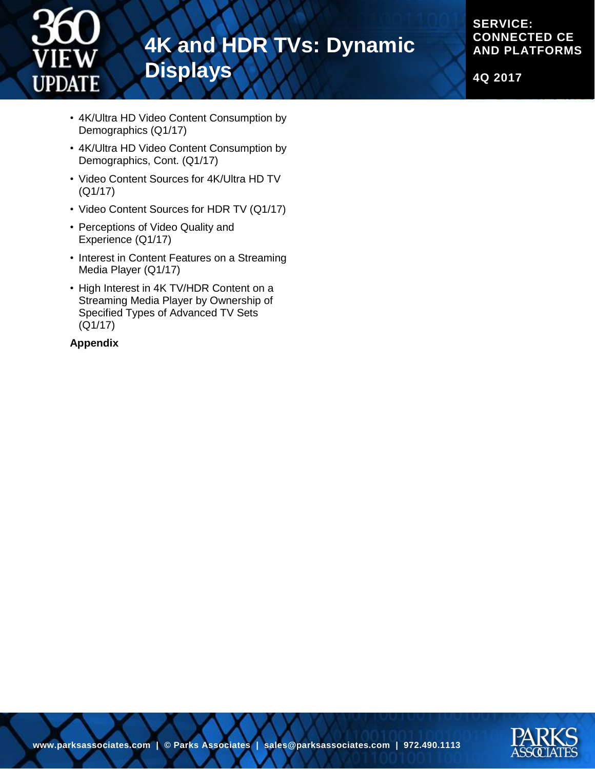

## **4K and HDR TVs: Dynamic Displays**

**SERVICE: CONNECTED CE AND PLATFORMS**

**4Q 2017**

- 4K/Ultra HD Video Content Consumption by Demographics (Q1/17)
- 4K/Ultra HD Video Content Consumption by Demographics, Cont. (Q1/17)
- Video Content Sources for 4K/Ultra HD TV (Q1/17)
- Video Content Sources for HDR TV (Q1/17)
- Perceptions of Video Quality and Experience (Q1/17)
- Interest in Content Features on a Streaming Media Player (Q1/17)
- High Interest in 4K TV/HDR Content on a Streaming Media Player by Ownership of Specified Types of Advanced TV Sets (Q1/17)

#### **Appendix**